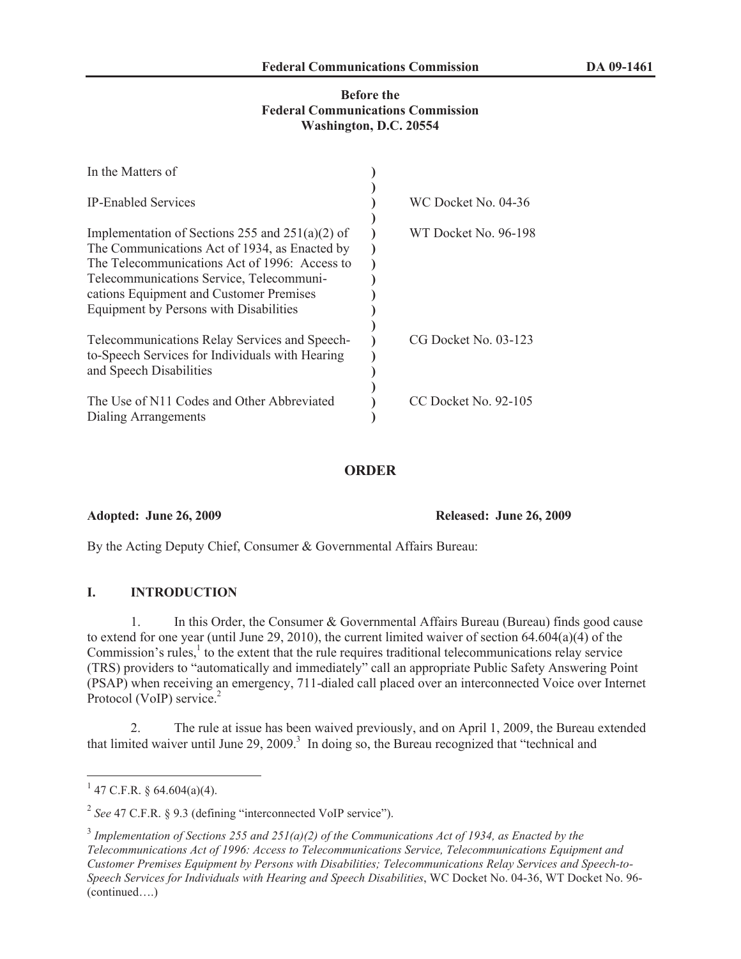### **Before the Federal Communications Commission Washington, D.C. 20554**

| In the Matters of                                                                                                                                                                                                                                                                    |                      |
|--------------------------------------------------------------------------------------------------------------------------------------------------------------------------------------------------------------------------------------------------------------------------------------|----------------------|
| <b>IP-Enabled Services</b>                                                                                                                                                                                                                                                           | WC Docket No. 04-36  |
| Implementation of Sections 255 and $251(a)(2)$ of<br>The Communications Act of 1934, as Enacted by<br>The Telecommunications Act of 1996: Access to<br>Telecommunications Service, Telecommuni-<br>cations Equipment and Customer Premises<br>Equipment by Persons with Disabilities | WT Docket No. 96-198 |
| Telecommunications Relay Services and Speech-<br>to-Speech Services for Individuals with Hearing<br>and Speech Disabilities                                                                                                                                                          | CG Docket No. 03-123 |
| The Use of N11 Codes and Other Abbreviated<br>Dialing Arrangements                                                                                                                                                                                                                   | CC Docket No. 92-105 |

## **ORDER**

**Adopted: June 26, 2009 Released: June 26, 2009**

By the Acting Deputy Chief, Consumer & Governmental Affairs Bureau:

# **I. INTRODUCTION**

1. In this Order, the Consumer & Governmental Affairs Bureau (Bureau) finds good cause to extend for one year (until June 29, 2010), the current limited waiver of section 64.604(a)(4) of the Commission's rules, $\frac{1}{1}$  to the extent that the rule requires traditional telecommunications relay service (TRS) providers to "automatically and immediately" call an appropriate Public Safety Answering Point (PSAP) when receiving an emergency, 711-dialed call placed over an interconnected Voice over Internet Protocol (VoIP) service.<sup>2</sup>

2. The rule at issue has been waived previously, and on April 1, 2009, the Bureau extended that limited waiver until June  $29, 2009$ .<sup>3</sup> In doing so, the Bureau recognized that "technical and

 $1$  47 C.F.R. § 64.604(a)(4).

<sup>&</sup>lt;sup>2</sup> See 47 C.F.R. § 9.3 (defining "interconnected VoIP service").

<sup>3</sup> *Implementation of Sections 255 and 251(a)(2) of the Communications Act of 1934, as Enacted by the Telecommunications Act of 1996: Access to Telecommunications Service, Telecommunications Equipment and Customer Premises Equipment by Persons with Disabilities; Telecommunications Relay Services and Speech-to-Speech Services for Individuals with Hearing and Speech Disabilities*, WC Docket No. 04-36, WT Docket No. 96- (continued….)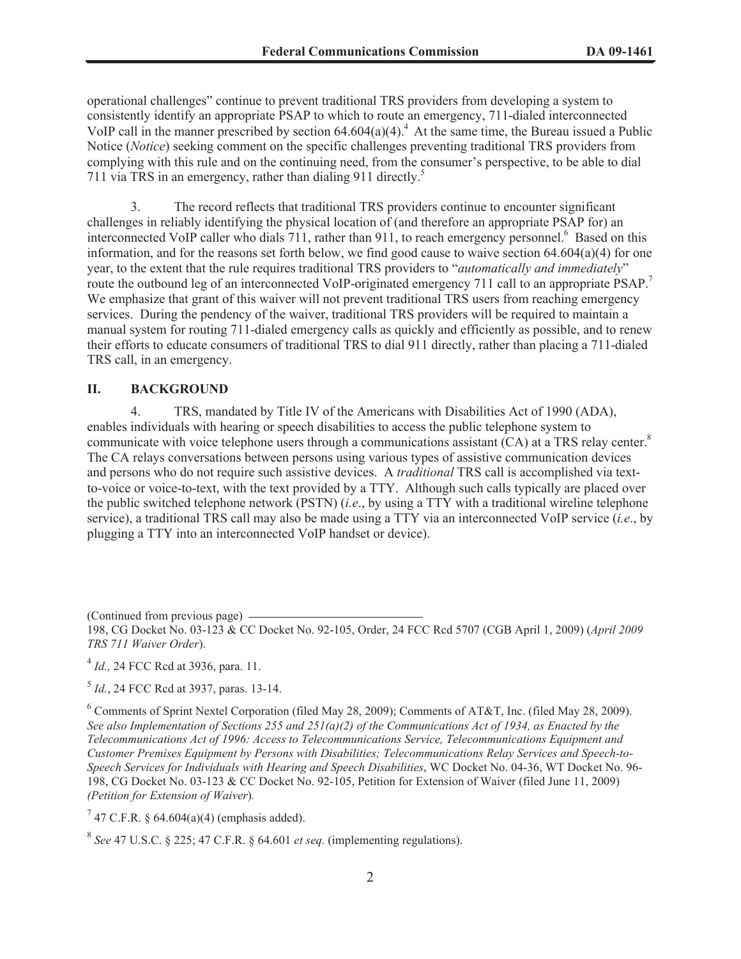operational challenges" continue to prevent traditional TRS providers from developing a system to consistently identify an appropriate PSAP to which to route an emergency, 711-dialed interconnected VoIP call in the manner prescribed by section  $64.604(a)(4)^4$ . At the same time, the Bureau issued a Public Notice (*Notice*) seeking comment on the specific challenges preventing traditional TRS providers from complying with this rule and on the continuing need, from the consumer's perspective, to be able to dial 711 via TRS in an emergency, rather than dialing 911 directly.<sup>5</sup>

3. The record reflects that traditional TRS providers continue to encounter significant challenges in reliably identifying the physical location of (and therefore an appropriate PSAP for) an interconnected VoIP caller who dials 711, rather than 911, to reach emergency personnel.<sup>6</sup> Based on this information, and for the reasons set forth below, we find good cause to waive section 64.604(a)(4) for one year, to the extent that the rule requires traditional TRS providers to "*automatically and immediately*" route the outbound leg of an interconnected VoIP-originated emergency 711 call to an appropriate PSAP.<sup>7</sup> We emphasize that grant of this waiver will not prevent traditional TRS users from reaching emergency services. During the pendency of the waiver, traditional TRS providers will be required to maintain a manual system for routing 711-dialed emergency calls as quickly and efficiently as possible, and to renew their efforts to educate consumers of traditional TRS to dial 911 directly, rather than placing a 711-dialed TRS call, in an emergency.

## **II. BACKGROUND**

4. TRS, mandated by Title IV of the Americans with Disabilities Act of 1990 (ADA), enables individuals with hearing or speech disabilities to access the public telephone system to communicate with voice telephone users through a communications assistant (CA) at a TRS relay center.<sup>8</sup> The CA relays conversations between persons using various types of assistive communication devices and persons who do not require such assistive devices. A *traditional* TRS call is accomplished via textto-voice or voice-to-text, with the text provided by a TTY. Although such calls typically are placed over the public switched telephone network (PSTN) (*i.e*., by using a TTY with a traditional wireline telephone service), a traditional TRS call may also be made using a TTY via an interconnected VoIP service (*i.e*., by plugging a TTY into an interconnected VoIP handset or device).

(Continued from previous page)

4 *Id.,* 24 FCC Rcd at 3936, para. 11.

5 *Id.*, 24 FCC Rcd at 3937, paras. 13-14.

 $6$  Comments of Sprint Nextel Corporation (filed May 28, 2009); Comments of AT&T, Inc. (filed May 28, 2009). *See also Implementation of Sections 255 and 251(a)(2) of the Communications Act of 1934, as Enacted by the Telecommunications Act of 1996: Access to Telecommunications Service, Telecommunications Equipment and Customer Premises Equipment by Persons with Disabilities; Telecommunications Relay Services and Speech-to-Speech Services for Individuals with Hearing and Speech Disabilities*, WC Docket No. 04-36, WT Docket No. 96- 198, CG Docket No. 03-123 & CC Docket No. 92-105, Petition for Extension of Waiver (filed June 11, 2009) *(Petition for Extension of Waiver*)*.*

<sup>7</sup> 47 C.F.R. § 64.604(a)(4) (emphasis added).

8 *See* 47 U.S.C. § 225; 47 C.F.R. § 64.601 *et seq.* (implementing regulations).

<sup>198,</sup> CG Docket No. 03-123 & CC Docket No. 92-105, Order, 24 FCC Rcd 5707 (CGB April 1, 2009) (*April 2009 TRS 711 Waiver Order*).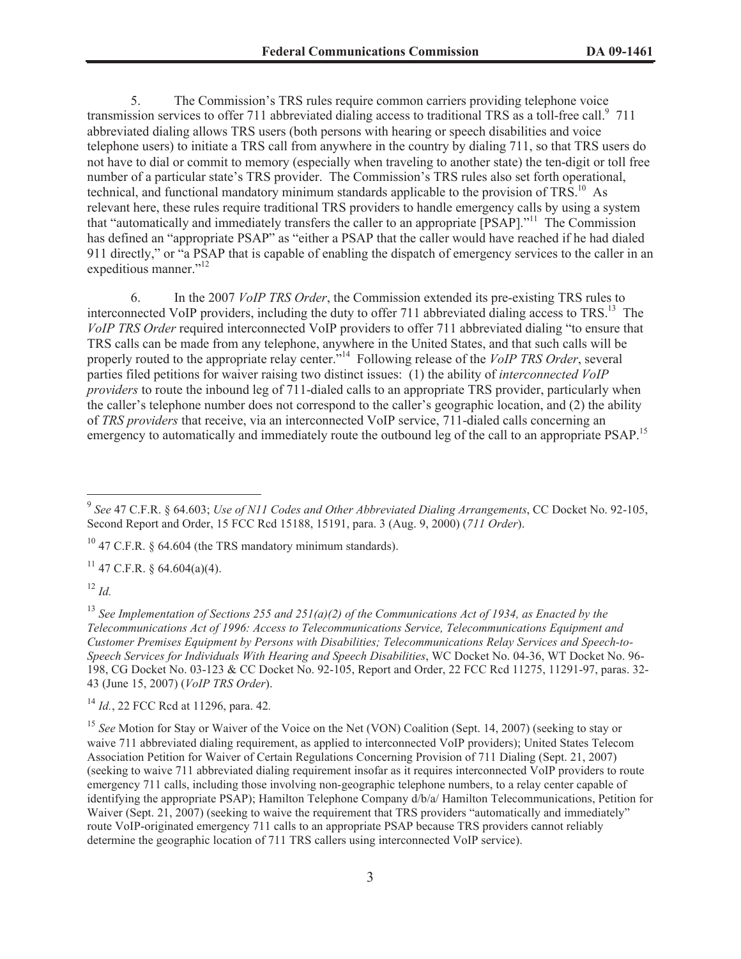5. The Commission's TRS rules require common carriers providing telephone voice transmission services to offer 711 abbreviated dialing access to traditional TRS as a toll-free call.<sup>9</sup> 711 abbreviated dialing allows TRS users (both persons with hearing or speech disabilities and voice telephone users) to initiate a TRS call from anywhere in the country by dialing 711, so that TRS users do not have to dial or commit to memory (especially when traveling to another state) the ten-digit or toll free number of a particular state's TRS provider. The Commission's TRS rules also set forth operational, technical, and functional mandatory minimum standards applicable to the provision of TRS.<sup>10</sup> As relevant here, these rules require traditional TRS providers to handle emergency calls by using a system that "automatically and immediately transfers the caller to an appropriate [PSAP]."<sup>11</sup> The Commission has defined an "appropriate PSAP" as "either a PSAP that the caller would have reached if he had dialed 911 directly," or "a PSAP that is capable of enabling the dispatch of emergency services to the caller in an expeditious manner."<sup>12</sup>

6. In the 2007 *VoIP TRS Order*, the Commission extended its pre-existing TRS rules to interconnected VoIP providers, including the duty to offer  $711$  abbreviated dialing access to  $TRS$ <sup>13</sup>. The *VoIP TRS Order* required interconnected VoIP providers to offer 711 abbreviated dialing "to ensure that TRS calls can be made from any telephone, anywhere in the United States, and that such calls will be properly routed to the appropriate relay center."<sup>14</sup> Following release of the *VoIP TRS Order*, several parties filed petitions for waiver raising two distinct issues: (1) the ability of *interconnected VoIP providers* to route the inbound leg of 711-dialed calls to an appropriate TRS provider, particularly when the caller's telephone number does not correspond to the caller's geographic location, and (2) the ability of *TRS providers* that receive, via an interconnected VoIP service, 711-dialed calls concerning an emergency to automatically and immediately route the outbound leg of the call to an appropriate PSAP.<sup>15</sup>

 $10$  47 C.F.R. § 64.604 (the TRS mandatory minimum standards).

 $11$  47 C.F.R. § 64.604(a)(4).

 $^{12}$  *Id.* 

<sup>13</sup> *See Implementation of Sections 255 and 251(a)(2) of the Communications Act of 1934, as Enacted by the Telecommunications Act of 1996: Access to Telecommunications Service, Telecommunications Equipment and Customer Premises Equipment by Persons with Disabilities; Telecommunications Relay Services and Speech-to-Speech Services for Individuals With Hearing and Speech Disabilities*, WC Docket No. 04-36, WT Docket No. 96- 198, CG Docket No. 03-123 & CC Docket No. 92-105, Report and Order, 22 FCC Rcd 11275, 11291-97, paras. 32- 43 (June 15, 2007) (*VoIP TRS Order*).

<sup>14</sup> *Id.*, 22 FCC Rcd at 11296, para. 42*.*

<sup>15</sup> See Motion for Stay or Waiver of the Voice on the Net (VON) Coalition (Sept. 14, 2007) (seeking to stay or waive 711 abbreviated dialing requirement, as applied to interconnected VoIP providers); United States Telecom Association Petition for Waiver of Certain Regulations Concerning Provision of 711 Dialing (Sept. 21, 2007) (seeking to waive 711 abbreviated dialing requirement insofar as it requires interconnected VoIP providers to route emergency 711 calls, including those involving non-geographic telephone numbers, to a relay center capable of identifying the appropriate PSAP); Hamilton Telephone Company d/b/a/ Hamilton Telecommunications, Petition for Waiver (Sept. 21, 2007) (seeking to waive the requirement that TRS providers "automatically and immediately" route VoIP-originated emergency 711 calls to an appropriate PSAP because TRS providers cannot reliably determine the geographic location of 711 TRS callers using interconnected VoIP service).

<sup>9</sup> *See* 47 C.F.R. § 64.603; *Use of N11 Codes and Other Abbreviated Dialing Arrangements*, CC Docket No. 92-105, Second Report and Order, 15 FCC Rcd 15188, 15191, para. 3 (Aug. 9, 2000) (*711 Order*).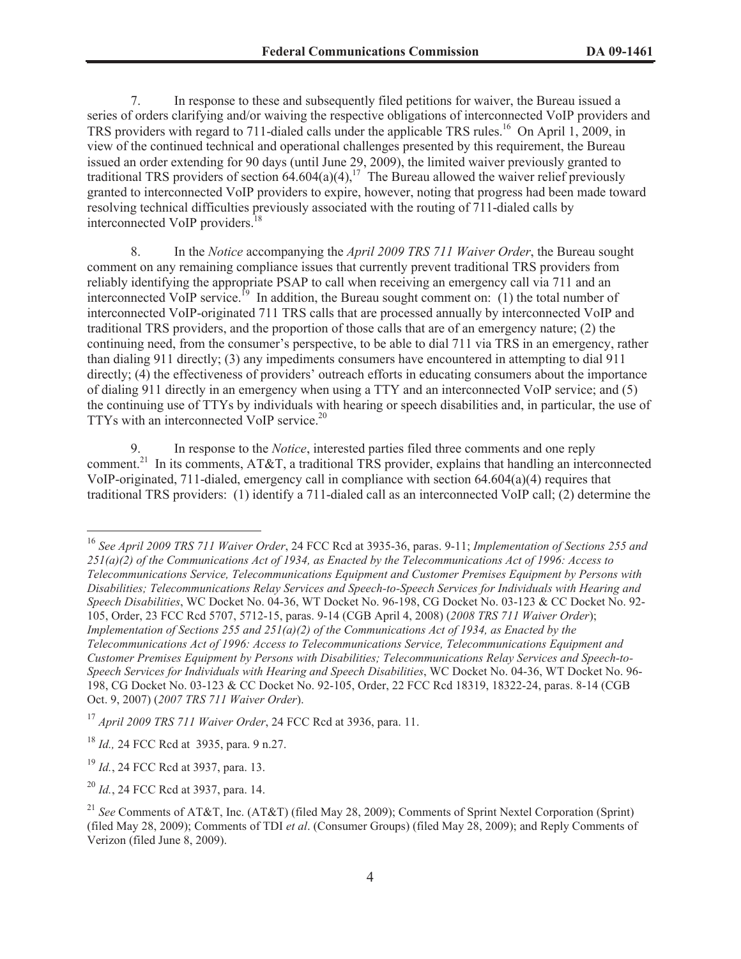7. In response to these and subsequently filed petitions for waiver, the Bureau issued a series of orders clarifying and/or waiving the respective obligations of interconnected VoIP providers and TRS providers with regard to 711-dialed calls under the applicable TRS rules.<sup>16</sup> On April 1, 2009, in view of the continued technical and operational challenges presented by this requirement, the Bureau issued an order extending for 90 days (until June 29, 2009), the limited waiver previously granted to traditional TRS providers of section  $64.604(a)(4)$ ,<sup>17</sup> The Bureau allowed the waiver relief previously granted to interconnected VoIP providers to expire, however, noting that progress had been made toward resolving technical difficulties previously associated with the routing of 711-dialed calls by interconnected VoIP providers.<sup>18</sup>

8. In the *Notice* accompanying the *April 2009 TRS 711 Waiver Order*, the Bureau sought comment on any remaining compliance issues that currently prevent traditional TRS providers from reliably identifying the appropriate PSAP to call when receiving an emergency call via 711 and an interconnected VoIP service.<sup>19</sup> In addition, the Bureau sought comment on: (1) the total number of interconnected VoIP-originated 711 TRS calls that are processed annually by interconnected VoIP and traditional TRS providers, and the proportion of those calls that are of an emergency nature; (2) the continuing need, from the consumer's perspective, to be able to dial 711 via TRS in an emergency, rather than dialing 911 directly; (3) any impediments consumers have encountered in attempting to dial 911 directly; (4) the effectiveness of providers' outreach efforts in educating consumers about the importance of dialing 911 directly in an emergency when using a TTY and an interconnected VoIP service; and (5) the continuing use of TTYs by individuals with hearing or speech disabilities and, in particular, the use of TTYs with an interconnected VoIP service.<sup>20</sup>

9. In response to the *Notice*, interested parties filed three comments and one reply comment.<sup>21</sup> In its comments, AT&T, a traditional TRS provider, explains that handling an interconnected VoIP-originated, 711-dialed, emergency call in compliance with section 64.604(a)(4) requires that traditional TRS providers: (1) identify a 711-dialed call as an interconnected VoIP call; (2) determine the

<sup>16</sup> *See April 2009 TRS 711 Waiver Order*, 24 FCC Rcd at 3935-36, paras. 9-11; *Implementation of Sections 255 and 251(a)(2) of the Communications Act of 1934, as Enacted by the Telecommunications Act of 1996: Access to Telecommunications Service, Telecommunications Equipment and Customer Premises Equipment by Persons with Disabilities; Telecommunications Relay Services and Speech-to-Speech Services for Individuals with Hearing and Speech Disabilities*, WC Docket No. 04-36, WT Docket No. 96-198, CG Docket No. 03-123 & CC Docket No. 92- 105, Order, 23 FCC Rcd 5707, 5712-15, paras. 9-14 (CGB April 4, 2008) (*2008 TRS 711 Waiver Order*); *Implementation of Sections 255 and 251(a)(2) of the Communications Act of 1934, as Enacted by the Telecommunications Act of 1996: Access to Telecommunications Service, Telecommunications Equipment and Customer Premises Equipment by Persons with Disabilities; Telecommunications Relay Services and Speech-to-Speech Services for Individuals with Hearing and Speech Disabilities*, WC Docket No. 04-36, WT Docket No. 96- 198, CG Docket No. 03-123 & CC Docket No. 92-105, Order, 22 FCC Rcd 18319, 18322-24, paras. 8-14 (CGB Oct. 9, 2007) (*2007 TRS 711 Waiver Order*).

<sup>17</sup> *April 2009 TRS 711 Waiver Order*, 24 FCC Rcd at 3936, para. 11.

<sup>18</sup> *Id.,* 24 FCC Rcd at 3935, para. 9 n.27.

<sup>19</sup> *Id.*, 24 FCC Rcd at 3937, para. 13.

<sup>20</sup> *Id.*, 24 FCC Rcd at 3937, para. 14.

<sup>21</sup> *See* Comments of AT&T, Inc. (AT&T) (filed May 28, 2009); Comments of Sprint Nextel Corporation (Sprint) (filed May 28, 2009); Comments of TDI *et al*. (Consumer Groups) (filed May 28, 2009); and Reply Comments of Verizon (filed June 8, 2009).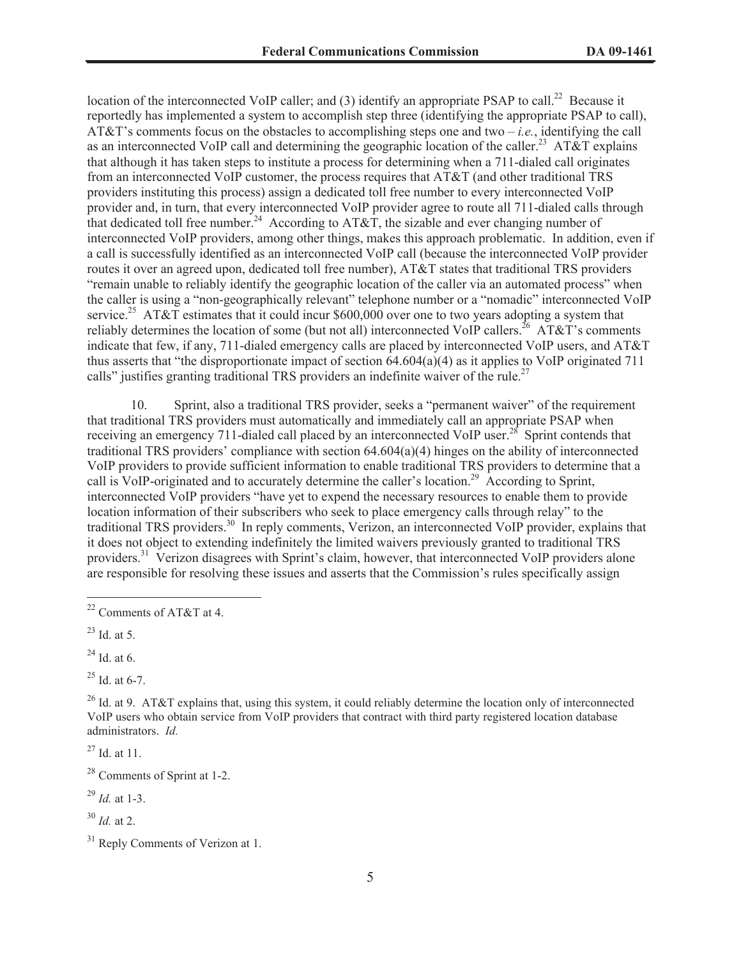location of the interconnected VoIP caller; and (3) identify an appropriate PSAP to call.<sup>22</sup> Because it reportedly has implemented a system to accomplish step three (identifying the appropriate PSAP to call), AT&T's comments focus on the obstacles to accomplishing steps one and two – *i.e.*, identifying the call as an interconnected VoIP call and determining the geographic location of the caller.<sup>23</sup> AT&T explains that although it has taken steps to institute a process for determining when a 711-dialed call originates from an interconnected VoIP customer, the process requires that AT&T (and other traditional TRS providers instituting this process) assign a dedicated toll free number to every interconnected VoIP provider and, in turn, that every interconnected VoIP provider agree to route all 711-dialed calls through that dedicated toll free number.<sup>24</sup> According to AT&T, the sizable and ever changing number of interconnected VoIP providers, among other things, makes this approach problematic. In addition, even if a call is successfully identified as an interconnected VoIP call (because the interconnected VoIP provider routes it over an agreed upon, dedicated toll free number), AT&T states that traditional TRS providers "remain unable to reliably identify the geographic location of the caller via an automated process" when the caller is using a "non-geographically relevant" telephone number or a "nomadic" interconnected VoIP service.<sup>25</sup> AT&T estimates that it could incur \$600,000 over one to two years adopting a system that reliably determines the location of some (but not all) interconnected VoIP callers.<sup>26</sup> AT&T's comments indicate that few, if any, 711-dialed emergency calls are placed by interconnected VoIP users, and AT&T thus asserts that "the disproportionate impact of section  $\vec{64.604(a)}$ (4) as it applies to VoIP originated 711 calls" justifies granting traditional TRS providers an indefinite waiver of the rule.<sup>27</sup>

10. Sprint, also a traditional TRS provider, seeks a "permanent waiver" of the requirement that traditional TRS providers must automatically and immediately call an appropriate PSAP when receiving an emergency 711-dialed call placed by an interconnected VoIP user.<sup>28</sup> Sprint contends that traditional TRS providers' compliance with section 64.604(a)(4) hinges on the ability of interconnected VoIP providers to provide sufficient information to enable traditional TRS providers to determine that a call is VoIP-originated and to accurately determine the caller's location.<sup>29</sup> According to Sprint, interconnected VoIP providers "have yet to expend the necessary resources to enable them to provide location information of their subscribers who seek to place emergency calls through relay" to the traditional TRS providers.<sup>30</sup> In reply comments, Verizon, an interconnected VoIP provider, explains that it does not object to extending indefinitely the limited waivers previously granted to traditional TRS providers.<sup>31</sup> Verizon disagrees with Sprint's claim, however, that interconnected VoIP providers alone are responsible for resolving these issues and asserts that the Commission's rules specifically assign

 $24$  Id. at 6.

 $25$  Id. at 6-7.

<sup>26</sup> Id. at 9. AT&T explains that, using this system, it could reliably determine the location only of interconnected VoIP users who obtain service from VoIP providers that contract with third party registered location database administrators. *Id.*

 $27$  Id. at 11.

<sup>29</sup> *Id.* at 1-3.

 $30$  *Id.* at 2.

<sup>22</sup> Comments of AT&T at 4.

 $^{23}$  Id. at 5.

<sup>28</sup> Comments of Sprint at 1-2.

 $31$  Reply Comments of Verizon at 1.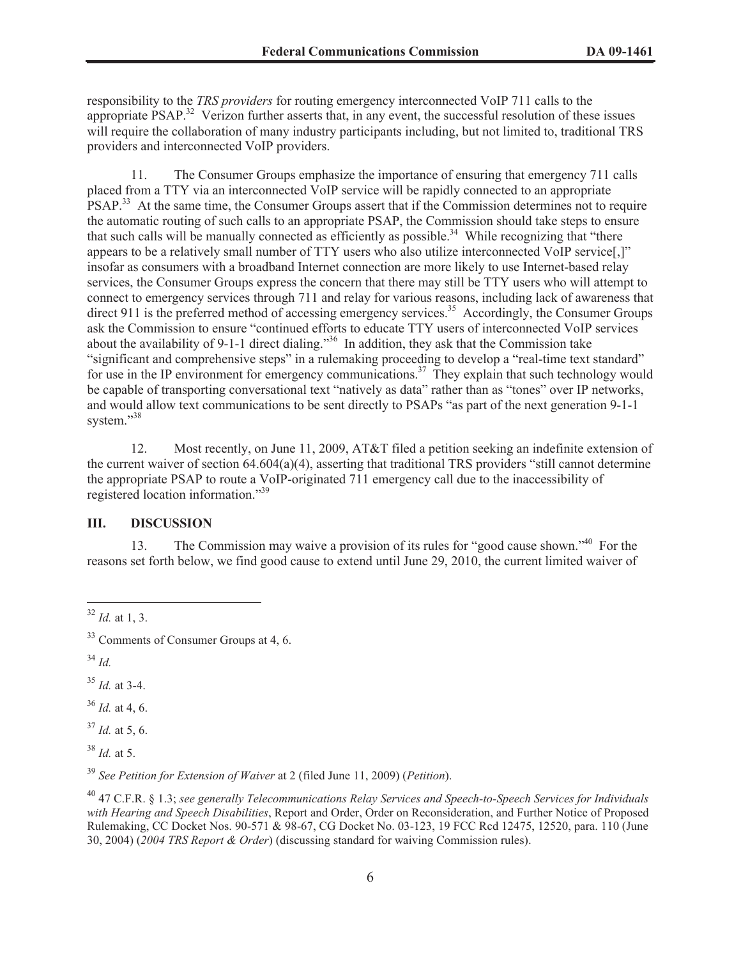responsibility to the *TRS providers* for routing emergency interconnected VoIP 711 calls to the appropriate PSAP.<sup>32</sup> Verizon further asserts that, in any event, the successful resolution of these issues will require the collaboration of many industry participants including, but not limited to, traditional TRS providers and interconnected VoIP providers.

11. The Consumer Groups emphasize the importance of ensuring that emergency 711 calls placed from a TTY via an interconnected VoIP service will be rapidly connected to an appropriate PSAP.<sup>33</sup> At the same time, the Consumer Groups assert that if the Commission determines not to require the automatic routing of such calls to an appropriate PSAP, the Commission should take steps to ensure that such calls will be manually connected as efficiently as possible.<sup>34</sup> While recognizing that "there appears to be a relatively small number of TTY users who also utilize interconnected VoIP service[,]" insofar as consumers with a broadband Internet connection are more likely to use Internet-based relay services, the Consumer Groups express the concern that there may still be TTY users who will attempt to connect to emergency services through 711 and relay for various reasons, including lack of awareness that direct 911 is the preferred method of accessing emergency services.<sup>35</sup> Accordingly, the Consumer Groups ask the Commission to ensure "continued efforts to educate TTY users of interconnected VoIP services about the availability of 9-1-1 direct dialing."<sup>36</sup> In addition, they ask that the Commission take "significant and comprehensive steps" in a rulemaking proceeding to develop a "real-time text standard" for use in the IP environment for emergency communications.<sup>37</sup> They explain that such technology would be capable of transporting conversational text "natively as data" rather than as "tones" over IP networks, and would allow text communications to be sent directly to PSAPs "as part of the next generation 9-1-1 system."38

12. Most recently, on June 11, 2009, AT&T filed a petition seeking an indefinite extension of the current waiver of section 64.604(a)(4), asserting that traditional TRS providers "still cannot determine the appropriate PSAP to route a VoIP-originated 711 emergency call due to the inaccessibility of registered location information."<sup>39</sup>

# **III. DISCUSSION**

13. The Commission may waive a provision of its rules for "good cause shown."<sup>40</sup> For the reasons set forth below, we find good cause to extend until June 29, 2010, the current limited waiver of

<sup>34</sup> *Id.*

<sup>35</sup> *Id.* at 3-4.

<sup>36</sup> *Id.* at 4, 6.

 $37$  *Id.* at 5, 6.

<sup>38</sup> *Id.* at 5.

<sup>39</sup> *See Petition for Extension of Waiver* at 2 (filed June 11, 2009) (*Petition*).

 $32$  *Id.* at 1, 3.

<sup>&</sup>lt;sup>33</sup> Comments of Consumer Groups at 4, 6.

<sup>40</sup> 47 C.F.R. § 1.3; *see generally Telecommunications Relay Services and Speech-to-Speech Services for Individuals with Hearing and Speech Disabilities*, Report and Order, Order on Reconsideration, and Further Notice of Proposed Rulemaking, CC Docket Nos. 90-571 & 98-67, CG Docket No. 03-123, 19 FCC Rcd 12475, 12520, para. 110 (June 30, 2004) (*2004 TRS Report & Order*) (discussing standard for waiving Commission rules).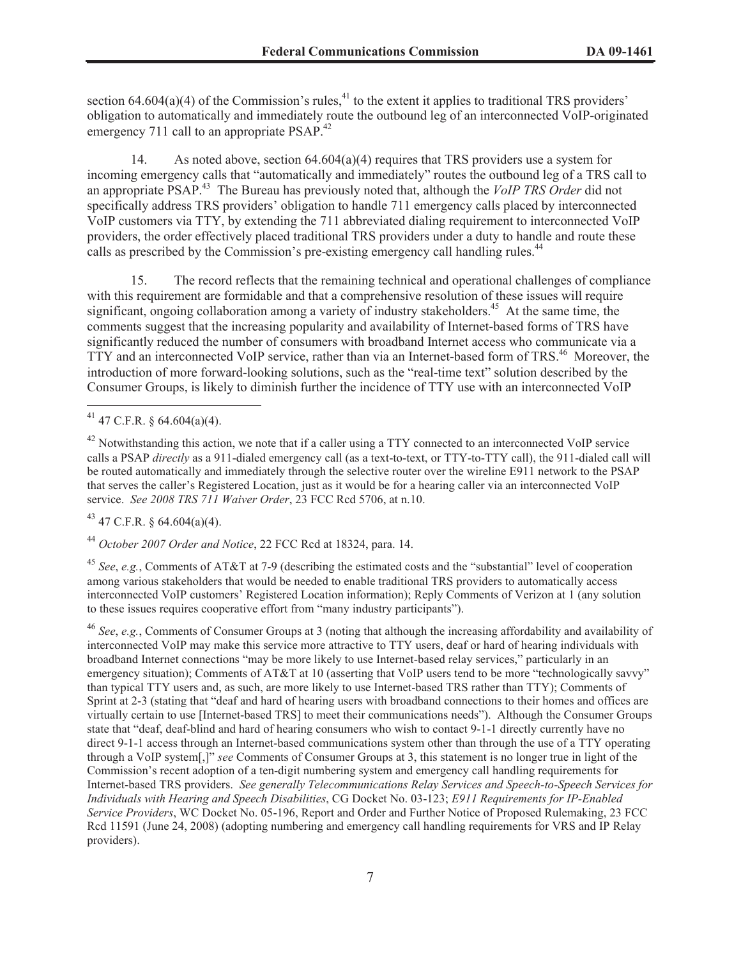section 64.604(a)(4) of the Commission's rules,<sup>41</sup> to the extent it applies to traditional TRS providers' obligation to automatically and immediately route the outbound leg of an interconnected VoIP-originated emergency 711 call to an appropriate PSAP.<sup>42</sup>

14. As noted above, section 64.604(a)(4) requires that TRS providers use a system for incoming emergency calls that "automatically and immediately" routes the outbound leg of a TRS call to an appropriate PSAP.<sup>43</sup> The Bureau has previously noted that, although the *VoIP TRS Order* did not specifically address TRS providers' obligation to handle 711 emergency calls placed by interconnected VoIP customers via TTY, by extending the 711 abbreviated dialing requirement to interconnected VoIP providers, the order effectively placed traditional TRS providers under a duty to handle and route these calls as prescribed by the Commission's pre-existing emergency call handling rules.<sup>44</sup>

15. The record reflects that the remaining technical and operational challenges of compliance with this requirement are formidable and that a comprehensive resolution of these issues will require significant, ongoing collaboration among a variety of industry stakeholders.<sup>45</sup> At the same time, the comments suggest that the increasing popularity and availability of Internet-based forms of TRS have significantly reduced the number of consumers with broadband Internet access who communicate via a TTY and an interconnected VoIP service, rather than via an Internet-based form of TRS.<sup>46</sup> Moreover, the introduction of more forward-looking solutions, such as the "real-time text" solution described by the Consumer Groups, is likely to diminish further the incidence of TTY use with an interconnected VoIP

 $43$  47 C.F.R. § 64.604(a)(4).

<sup>44</sup> *October 2007 Order and Notice*, 22 FCC Rcd at 18324, para. 14.

<sup>45</sup> *See*, *e.g.*, Comments of AT&T at 7-9 (describing the estimated costs and the "substantial" level of cooperation among various stakeholders that would be needed to enable traditional TRS providers to automatically access interconnected VoIP customers' Registered Location information); Reply Comments of Verizon at 1 (any solution to these issues requires cooperative effort from "many industry participants").

<sup>46</sup> *See*, *e.g.*, Comments of Consumer Groups at 3 (noting that although the increasing affordability and availability of interconnected VoIP may make this service more attractive to TTY users, deaf or hard of hearing individuals with broadband Internet connections "may be more likely to use Internet-based relay services," particularly in an emergency situation); Comments of AT&T at 10 (asserting that VoIP users tend to be more "technologically savvy" than typical TTY users and, as such, are more likely to use Internet-based TRS rather than TTY); Comments of Sprint at 2-3 (stating that "deaf and hard of hearing users with broadband connections to their homes and offices are virtually certain to use [Internet-based TRS] to meet their communications needs"). Although the Consumer Groups state that "deaf, deaf-blind and hard of hearing consumers who wish to contact 9-1-1 directly currently have no direct 9-1-1 access through an Internet-based communications system other than through the use of a TTY operating through a VoIP system[,]" *see* Comments of Consumer Groups at 3, this statement is no longer true in light of the Commission's recent adoption of a ten-digit numbering system and emergency call handling requirements for Internet-based TRS providers. *See generally Telecommunications Relay Services and Speech-to-Speech Services for Individuals with Hearing and Speech Disabilities*, CG Docket No. 03-123; *E911 Requirements for IP-Enabled Service Providers*, WC Docket No. 05-196, Report and Order and Further Notice of Proposed Rulemaking, 23 FCC Rcd 11591 (June 24, 2008) (adopting numbering and emergency call handling requirements for VRS and IP Relay providers).

 $41$  47 C.F.R. § 64.604(a)(4).

 $42$  Notwithstanding this action, we note that if a caller using a TTY connected to an interconnected VoIP service calls a PSAP *directly* as a 911-dialed emergency call (as a text-to-text, or TTY-to-TTY call), the 911-dialed call will be routed automatically and immediately through the selective router over the wireline E911 network to the PSAP that serves the caller's Registered Location, just as it would be for a hearing caller via an interconnected VoIP service. *See 2008 TRS 711 Waiver Order*, 23 FCC Rcd 5706, at n.10.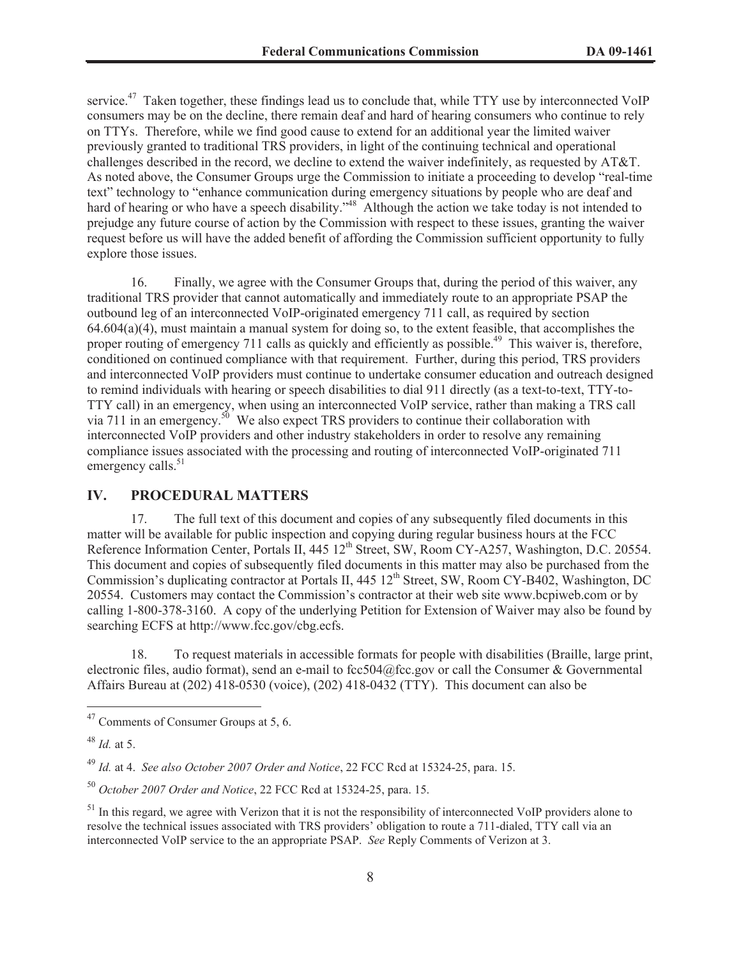service.<sup>47</sup> Taken together, these findings lead us to conclude that, while TTY use by interconnected VoIP consumers may be on the decline, there remain deaf and hard of hearing consumers who continue to rely on TTYs. Therefore, while we find good cause to extend for an additional year the limited waiver previously granted to traditional TRS providers, in light of the continuing technical and operational challenges described in the record, we decline to extend the waiver indefinitely, as requested by AT&T. As noted above, the Consumer Groups urge the Commission to initiate a proceeding to develop "real-time text" technology to "enhance communication during emergency situations by people who are deaf and hard of hearing or who have a speech disability."<sup>48</sup> Although the action we take today is not intended to prejudge any future course of action by the Commission with respect to these issues, granting the waiver request before us will have the added benefit of affording the Commission sufficient opportunity to fully explore those issues.

16. Finally, we agree with the Consumer Groups that, during the period of this waiver, any traditional TRS provider that cannot automatically and immediately route to an appropriate PSAP the outbound leg of an interconnected VoIP-originated emergency 711 call, as required by section  $64.604(a)(4)$ , must maintain a manual system for doing so, to the extent feasible, that accomplishes the proper routing of emergency 711 calls as quickly and efficiently as possible.<sup>49</sup> This waiver is, therefore, conditioned on continued compliance with that requirement. Further, during this period, TRS providers and interconnected VoIP providers must continue to undertake consumer education and outreach designed to remind individuals with hearing or speech disabilities to dial 911 directly (as a text-to-text, TTY-to-TTY call) in an emergency, when using an interconnected VoIP service, rather than making a TRS call via 711 in an emergency.<sup>50</sup> We also expect TRS providers to continue their collaboration with interconnected VoIP providers and other industry stakeholders in order to resolve any remaining compliance issues associated with the processing and routing of interconnected VoIP-originated 711 emergency calls.<sup>51</sup>

### **IV. PROCEDURAL MATTERS**

17. The full text of this document and copies of any subsequently filed documents in this matter will be available for public inspection and copying during regular business hours at the FCC Reference Information Center, Portals II, 445 12<sup>th</sup> Street, SW, Room CY-A257, Washington, D.C. 20554. This document and copies of subsequently filed documents in this matter may also be purchased from the Commission's duplicating contractor at Portals II, 445 12<sup>th</sup> Street, SW, Room CY-B402, Washington, DC 20554. Customers may contact the Commission's contractor at their web site www.bcpiweb.com or by calling 1-800-378-3160. A copy of the underlying Petition for Extension of Waiver may also be found by searching ECFS at http://www.fcc.gov/cbg.ecfs.

18. To request materials in accessible formats for people with disabilities (Braille, large print, electronic files, audio format), send an e-mail to fcc504@fcc.gov or call the Consumer & Governmental Affairs Bureau at (202) 418-0530 (voice), (202) 418-0432 (TTY). This document can also be

 $47$  Comments of Consumer Groups at 5, 6.

<sup>48</sup> *Id.* at 5.

<sup>49</sup> *Id.* at 4. *See also October 2007 Order and Notice*, 22 FCC Rcd at 15324-25, para. 15.

<sup>50</sup> *October 2007 Order and Notice*, 22 FCC Rcd at 15324-25, para. 15.

 $<sup>51</sup>$  In this regard, we agree with Verizon that it is not the responsibility of interconnected VoIP providers alone to</sup> resolve the technical issues associated with TRS providers' obligation to route a 711-dialed, TTY call via an interconnected VoIP service to the an appropriate PSAP. *See* Reply Comments of Verizon at 3.